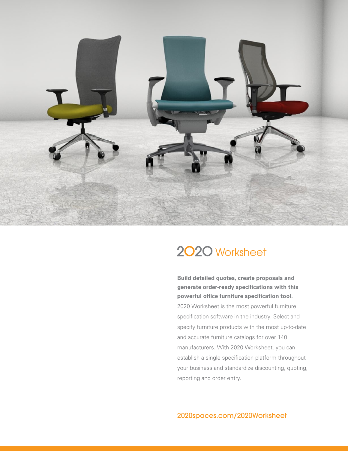

# 2020 Worksheet

**Build detailed quotes, create proposals and generate order-ready specifications with this powerful office furniture specification tool.** 2020 Worksheet is the most powerful furniture specification software in the industry. Select and specify furniture products with the most up-to-date and accurate furniture catalogs for over 140 manufacturers. With 2020 Worksheet, you can establish a single specification platform throughout your business and standardize discounting, quoting, reporting and order entry.

2020spaces.com/2020Worksheet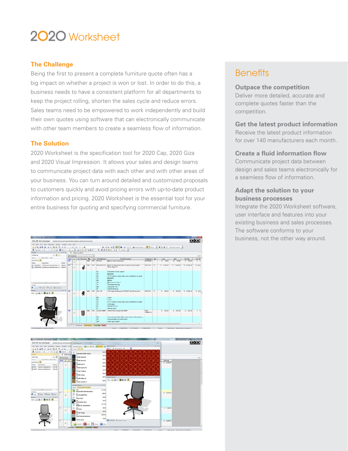# 2020 Worksheet

### **The Challenge**

Being the first to present a complete furniture quote often has a big impact on whether a project is won or lost. In order to do this, a business needs to have a consistent platform for all departments to keep the project rolling, shorten the sales cycle and reduce errors. Sales teams need to be empowered to work independently and build their own quotes using software that can electronically communicate with other team members to create a seamless flow of information.

#### **The Solution**

2020 Worksheet is the specification tool for 2020 Cap, 2020 Giza and 2020 Visual Impression. It allows your sales and design teams to communicate project data with each other and with other areas of your business. You can turn around detailed and customized proposals to customers quickly and avoid pricing errors with up-to-date product information and pricing. 2020 Worksheet is the essential tool for your entire business for quoting and specifying commercial furniture.



### **Benefits**

#### **Outpace the competition**

Deliver more detailed, accurate and complete quotes faster than the competition.

#### **Get the latest product information** Receive the latest product information for over 140 manufacturers each month.

## **Create a fluid information flow**

Communicate project data between design and sales teams electronically for a seamless flow of information.

#### **Adapt the solution to your business processes**

Integrate the 2020 Worksheet software, user interface and features into your existing business and sales processes. The software conforms to your business, not the other way around.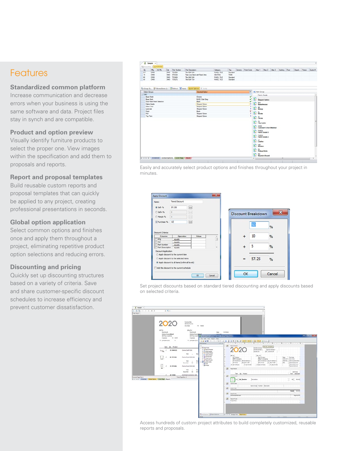### **Features**

#### **Standardized common platform**

Increase communication and decrease errors when your business is using the same software and data. Project files stay in synch and are compatible.

#### **Product and option preview**

Visually identify furniture products to select the proper one. View images within the specification and add them to proposals and reports.

#### **Report and proposal templates**

Build reusable custom reports and proposal templates that can quickly be applied to any project, creating professional presentations in seconds.

#### **Global option application**

Select common options and finishes once and apply them throughout a project, eliminating repetitive product option selections and reducing errors.

#### **Discounting and pricing**

Quickly set up discounting structures based on a variety of criteria. Save and share customer-specific discount schedules to increase efficiency and prevent customer dissatisfaction.

| Alas 1 Nas 2 Alas 3 Building Floor<br>Generic Finish Code<br>Mg<br>At Mo.<br>Part Number<br>Part Description<br>Tag<br>Qx<br>Cat<br>Category<br>Tile 42W 24H<br><b>CIMO</b><br>TS4226<br><b>PANEL TILE</b><br>Standard<br>217<br>DMO<br><b>STOWA</b><br>Task Low-Back with Fored Ame<br><b>SEATING</b><br>TASK<br>15<br>EMO.<br>CARD<br>60<br>T52424<br>Tão 24W 24H<br><b>PANEL TILE</b><br><b>CMO</b><br>DMO<br><b>Standard</b><br>TS4212<br>Tile 42W 12H<br>PANEL TILE<br>44<br><b>CMO</b><br>CMO.<br><b>Standard</b><br>4 Group By Trittered Bens (1)   2 Refresh @ Apply   Quick Options   P Venty<br><b>V</b> > Net Group<br>Selected Option<br>Option Groups<br>$= 0.001$<br>Fabric Grade<br><b>Base Finish</b><br>Chrome<br>√<br>23<br><b>Base Paint</b><br><b>EASE: Dark Grey</b><br>√<br>Skipped Optices<br>Door Paint Finish Selection<br><b>Black</b><br>√<br>ø<br>BW<br>Basketweave<br>÷<br><b>Skipped Option</b><br>Fabric Grade<br>Skipped Option<br>×<br>Glass Color<br>D<br><b>BEDOO</b><br>ŧ<br>Skipped Option<br>Leninde<br>۳<br>Paint<br>Back<br>雲<br>$rac{R}{\text{Rec}}$<br><b>Skipped Octon</b><br>Pull.<br>ł<br>Top Paint<br><b>Skipped Option</b><br>g)<br>$\frac{a}{c}$<br>鹦<br>$\frac{C}{C}$ ty tapers<br>23<br>CCM<br>Customer's Own Material<br>勁<br>FABG1<br>Fabric Grade 1<br>勁<br>FABG2<br>Fabric Grade 2<br>Ŧ,<br>Leather |  | El Properties   400 Autoston |  |  |  |  |  |  |   |  |  |  |  |  |                       |  |  |
|-----------------------------------------------------------------------------------------------------------------------------------------------------------------------------------------------------------------------------------------------------------------------------------------------------------------------------------------------------------------------------------------------------------------------------------------------------------------------------------------------------------------------------------------------------------------------------------------------------------------------------------------------------------------------------------------------------------------------------------------------------------------------------------------------------------------------------------------------------------------------------------------------------------------------------------------------------------------------------------------------------------------------------------------------------------------------------------------------------------------------------------------------------------------------------------------------------------------------------------------------------------------------------------------------------------------------------------------------------------|--|------------------------------|--|--|--|--|--|--|---|--|--|--|--|--|-----------------------|--|--|
|                                                                                                                                                                                                                                                                                                                                                                                                                                                                                                                                                                                                                                                                                                                                                                                                                                                                                                                                                                                                                                                                                                                                                                                                                                                                                                                                                           |  |                              |  |  |  |  |  |  |   |  |  |  |  |  | Depart Passon Quate # |  |  |
|                                                                                                                                                                                                                                                                                                                                                                                                                                                                                                                                                                                                                                                                                                                                                                                                                                                                                                                                                                                                                                                                                                                                                                                                                                                                                                                                                           |  |                              |  |  |  |  |  |  |   |  |  |  |  |  |                       |  |  |
|                                                                                                                                                                                                                                                                                                                                                                                                                                                                                                                                                                                                                                                                                                                                                                                                                                                                                                                                                                                                                                                                                                                                                                                                                                                                                                                                                           |  |                              |  |  |  |  |  |  |   |  |  |  |  |  |                       |  |  |
| MD<br>Modern<br>Ð<br>Pickup Sticks                                                                                                                                                                                                                                                                                                                                                                                                                                                                                                                                                                                                                                                                                                                                                                                                                                                                                                                                                                                                                                                                                                                                                                                                                                                                                                                        |  |                              |  |  |  |  |  |  | Đ |  |  |  |  |  |                       |  |  |





Set project discounts based on standard tiered discounting and apply discounts based on selected criteria.



Access hundreds of custom project attributes to build completely customized, reusable reports and proposals.